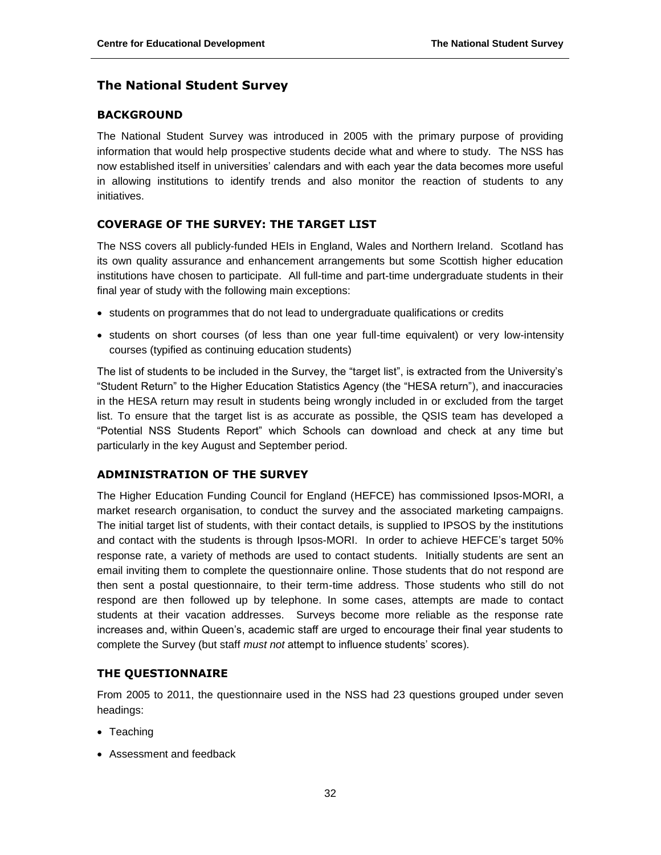# **The National Student Survey**

#### **BACKGROUND**

The National Student Survey was introduced in 2005 with the primary purpose of providing information that would help prospective students decide what and where to study. The NSS has now established itself in universities' calendars and with each year the data becomes more useful in allowing institutions to identify trends and also monitor the reaction of students to any initiatives.

### **COVERAGE OF THE SURVEY: THE TARGET LIST**

The NSS covers all publicly-funded HEIs in England, Wales and Northern Ireland. Scotland has its own quality assurance and enhancement arrangements but some Scottish higher education institutions have chosen to participate. All full-time and part-time undergraduate students in their final year of study with the following main exceptions:

- students on programmes that do not lead to undergraduate qualifications or credits
- students on short courses (of less than one year full-time equivalent) or very low-intensity courses (typified as continuing education students)

The list of students to be included in the Survey, the "target list", is extracted from the University's "Student Return" to the Higher Education Statistics Agency (the "HESA return"), and inaccuracies in the HESA return may result in students being wrongly included in or excluded from the target list. To ensure that the target list is as accurate as possible, the QSIS team has developed a "Potential NSS Students Report" which Schools can download and check at any time but particularly in the key August and September period.

#### **ADMINISTRATION OF THE SURVEY**

The Higher Education Funding Council for England (HEFCE) has commissioned Ipsos-MORI, a market research organisation, to conduct the survey and the associated marketing campaigns. The initial target list of students, with their contact details, is supplied to IPSOS by the institutions and contact with the students is through Ipsos-MORI. In order to achieve HEFCE's target 50% response rate, a variety of methods are used to contact students. Initially students are sent an email inviting them to complete the questionnaire online. Those students that do not respond are then sent a postal questionnaire, to their term-time address. Those students who still do not respond are then followed up by telephone. In some cases, attempts are made to contact students at their vacation addresses. Surveys become more reliable as the response rate increases and, within Queen's, academic staff are urged to encourage their final year students to complete the Survey (but staff *must not* attempt to influence students' scores).

## **THE QUESTIONNAIRE**

From 2005 to 2011, the questionnaire used in the NSS had 23 questions grouped under seven headings:

- Teaching
- Assessment and feedback